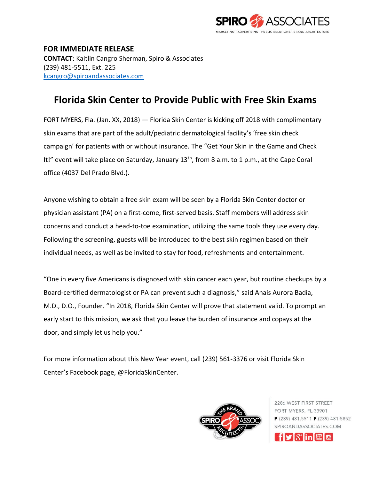

**FOR IMMEDIATE RELEASE CONTACT**: Kaitlin Cangro Sherman, Spiro & Associates (239) 481-5511, Ext. 225 [kcangro@spiroandassociates.com](mailto:kcangro@spiroandassociates.com)

## **Florida Skin Center to Provide Public with Free Skin Exams**

FORT MYERS, Fla. (Jan. XX, 2018) — Florida Skin Center is kicking off 2018 with complimentary skin exams that are part of the adult/pediatric dermatological facility's 'free skin check campaign' for patients with or without insurance. The "Get Your Skin in the Game and Check It!" event will take place on Saturday, January 13<sup>th</sup>, from 8 a.m. to 1 p.m., at the Cape Coral office (4037 Del Prado Blvd.).

Anyone wishing to obtain a free skin exam will be seen by a Florida Skin Center doctor or physician assistant (PA) on a first-come, first-served basis. Staff members will address skin concerns and conduct a head-to-toe examination, utilizing the same tools they use every day. Following the screening, guests will be introduced to the best skin regimen based on their individual needs, as well as be invited to stay for food, refreshments and entertainment.

"One in every five Americans is diagnosed with skin cancer each year, but routine checkups by a Board-certified dermatologist or PA can prevent such a diagnosis," said Anais Aurora Badia, M.D., D.O., Founder. "In 2018, Florida Skin Center will prove that statement valid. To prompt an early start to this mission, we ask that you leave the burden of insurance and copays at the door, and simply let us help you."

For more information about this New Year event, call (239) 561-3376 or visit Florida Skin Center's Facebook page, @FloridaSkinCenter.



2286 WEST FIRST STREET FORT MYERS, FL 33901  $P(239)$  481.5511 **F** (239) 481.5852 SPIROANDASSOCIATES.COM